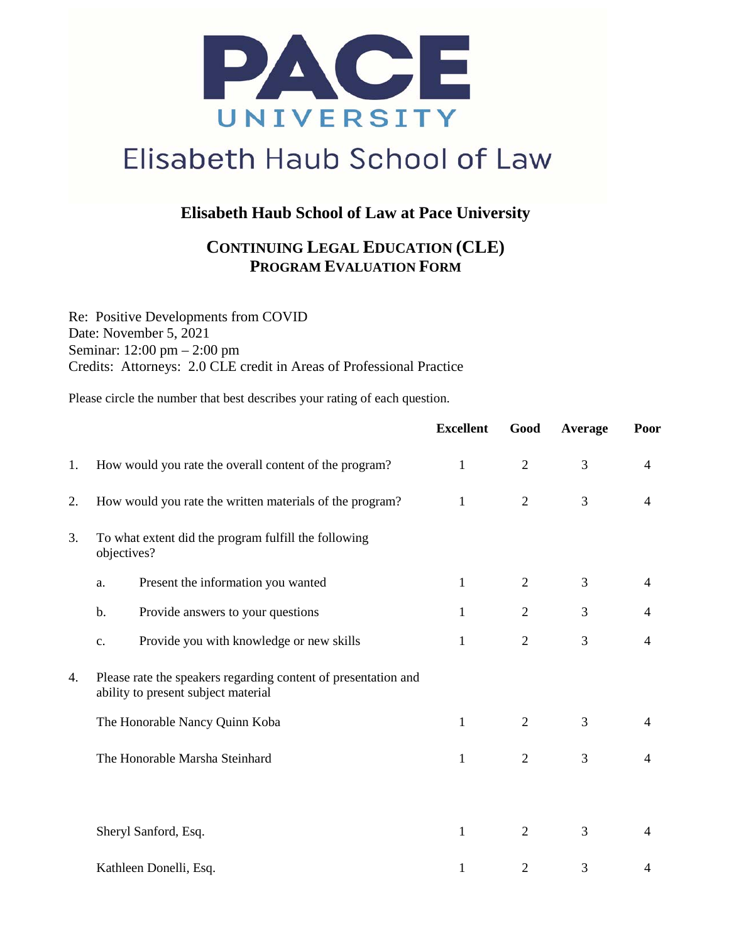

## Elisabeth Haub School of Law

#### **Elisabeth Haub School of Law at Pace University**

### **CONTINUING LEGAL EDUCATION (CLE) PROGRAM EVALUATION FORM**

Re: Positive Developments from COVID Date: November 5, 2021 Seminar: 12:00 pm – 2:00 pm Credits: Attorneys: 2.0 CLE credit in Areas of Professional Practice

Please circle the number that best describes your rating of each question.

|          |                                                                                                       | <b>Excellent</b> | Good           | Average | Poor           |
|----------|-------------------------------------------------------------------------------------------------------|------------------|----------------|---------|----------------|
| 1.       | How would you rate the overall content of the program?                                                | $\mathbf{1}$     | $\overline{2}$ | 3       | $\overline{4}$ |
| 2.       | How would you rate the written materials of the program?                                              | 1                | $\overline{2}$ | 3       | 4              |
| 3.<br>4. | To what extent did the program fulfill the following<br>objectives?                                   |                  |                |         |                |
|          | Present the information you wanted<br>a.                                                              | 1                | $\overline{2}$ | 3       | $\overline{4}$ |
|          | b.<br>Provide answers to your questions                                                               | $\mathbf{1}$     | $\overline{2}$ | 3       | 4              |
|          | Provide you with knowledge or new skills<br>c.                                                        | $\mathbf{1}$     | $\overline{2}$ | 3       | $\overline{4}$ |
|          | Please rate the speakers regarding content of presentation and<br>ability to present subject material |                  |                |         |                |
|          | The Honorable Nancy Quinn Koba                                                                        | 1                | $\overline{2}$ | 3       | 4              |
|          | The Honorable Marsha Steinhard                                                                        | 1                | $\overline{2}$ | 3       | $\overline{4}$ |
|          |                                                                                                       |                  |                |         |                |
|          | Sheryl Sanford, Esq.                                                                                  | $\mathbf{1}$     | $\overline{2}$ | 3       | 4              |
|          | Kathleen Donelli, Esq.                                                                                | $\mathbf{1}$     | $\overline{2}$ | 3       | 4              |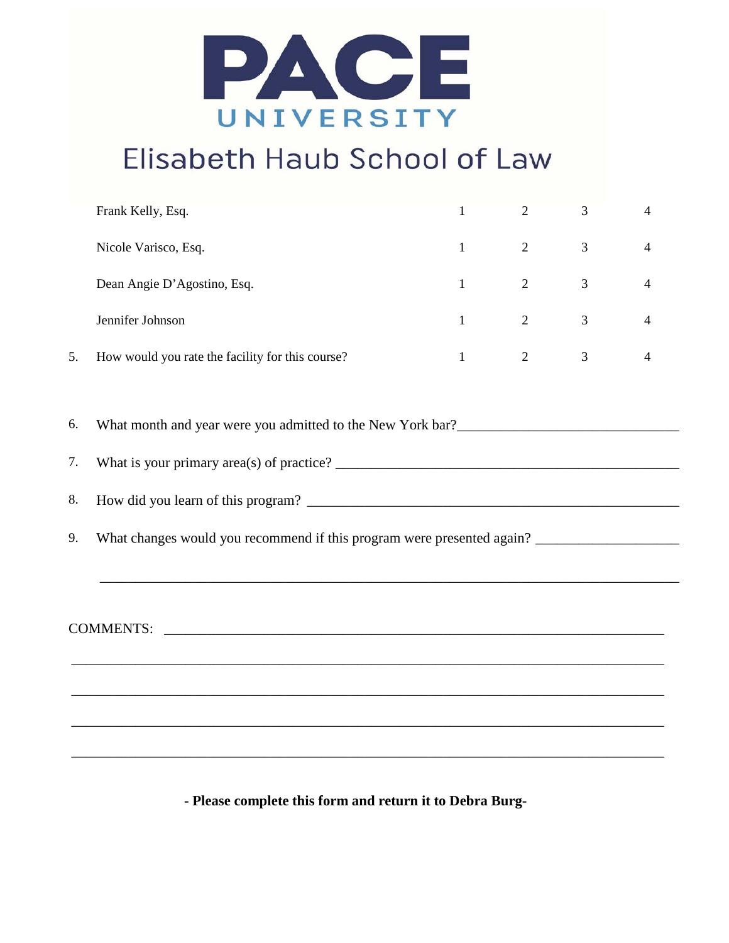

## Elisabeth Haub School of Law

|                     | Frank Kelly, Esq.                                | $\mathbf{1}$ | $\overline{2}$ | 3 | 4 |  |  |  |  |
|---------------------|--------------------------------------------------|--------------|----------------|---|---|--|--|--|--|
|                     | Nicole Varisco, Esq.                             | 1            | $\overline{2}$ | 3 | 4 |  |  |  |  |
|                     | Dean Angie D'Agostino, Esq.                      | 1            | $\overline{2}$ | 3 | 4 |  |  |  |  |
|                     | Jennifer Johnson                                 | 1            | $\overline{2}$ | 3 | 4 |  |  |  |  |
| 5.                  | How would you rate the facility for this course? | $\mathbf{1}$ | $\overline{2}$ | 3 | 4 |  |  |  |  |
| 6.                  |                                                  |              |                |   |   |  |  |  |  |
| 7.                  |                                                  |              |                |   |   |  |  |  |  |
| 8.                  |                                                  |              |                |   |   |  |  |  |  |
| 9.                  |                                                  |              |                |   |   |  |  |  |  |
| COMMENTS: COMMENTS: |                                                  |              |                |   |   |  |  |  |  |
|                     |                                                  |              |                |   |   |  |  |  |  |

**- Please complete this form and return it to Debra Burg-**